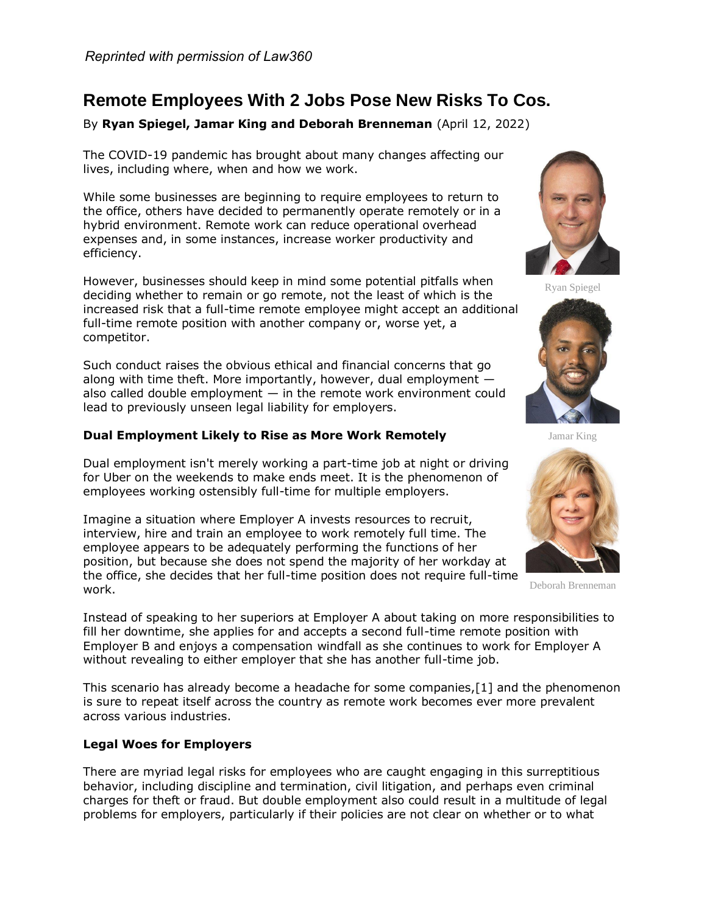# **Remote Employees With 2 Jobs Pose New Risks To Cos.**

# By **Ryan Spiegel, Jamar King and Deborah Brenneman** (April 12, 2022)

The COVID-19 pandemic has brought about many changes affecting our lives, including where, when and how we work.

While some businesses are beginning to require employees to return to the office, others have decided to permanently operate remotely or in a hybrid environment. Remote work can reduce operational overhead expenses and, in some instances, increase worker productivity and efficiency.

However, businesses should keep in mind some potential pitfalls when deciding whether to remain or go remote, not the least of which is the increased risk that a full-time remote employee might accept an additional full-time remote position with another company or, worse yet, a competitor.

Such conduct raises the obvious ethical and financial concerns that go along with time theft. More importantly, however, dual employment also called double employment  $-$  in the remote work environment could lead to previously unseen legal liability for employers.

## **Dual Employment Likely to Rise as More Work Remotely**

Dual employment isn't merely working a part-time job at night or driving for Uber on the weekends to make ends meet. It is the phenomenon of employees working ostensibly full-time for multiple employers.

Imagine a situation where Employer A invests resources to recruit, interview, hire and train an employee to work remotely full time. The employee appears to be adequately performing the functions of her position, but because she does not spend the majority of her workday at the office, she decides that her full-time position does not require full-time work.

Instead of speaking to her superiors at Employer A about taking on more responsibilities to fill her downtime, she applies for and accepts a second full-time remote position with Employer B and enjoys a compensation windfall as she continues to work for Employer A without revealing to either employer that she has another full-time job.

This scenario has already become a headache for some companies,[1] and the phenomenon is sure to repeat itself across the country as remote work becomes ever more prevalent across various industries.

## **Legal Woes for Employers**

There are myriad legal risks for employees who are caught engaging in this surreptitious behavior, including discipline and termination, civil litigation, and perhaps even criminal charges for theft or fraud. But double employment also could result in a multitude of legal problems for employers, particularly if their policies are not clear on whether or to what



Ryan Spiegel



Jamar King



Deborah Brenneman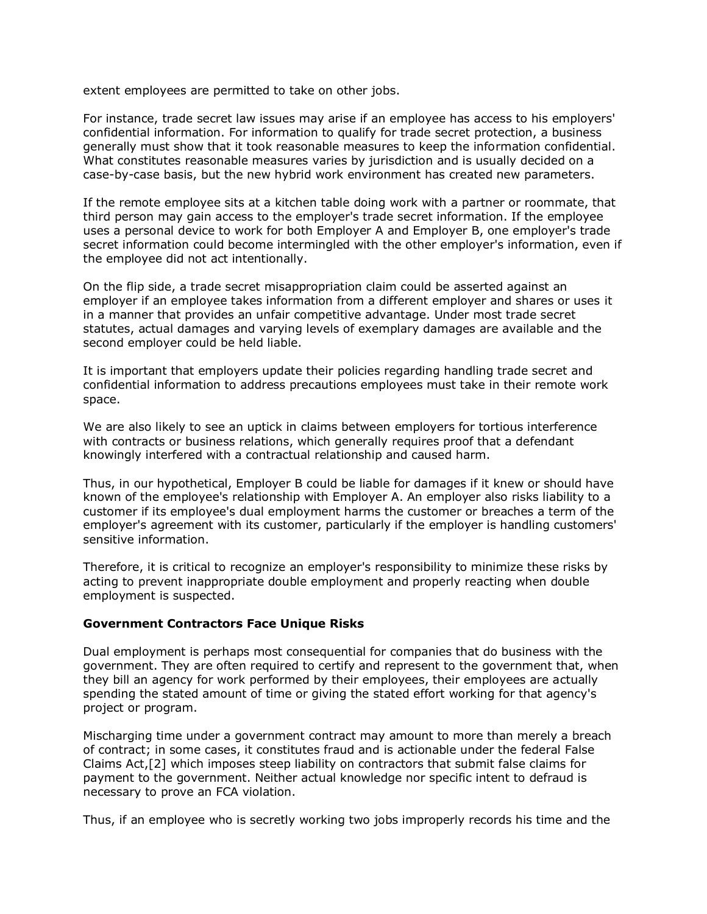extent employees are permitted to take on other jobs.

For instance, trade secret law issues may arise if an employee has access to his employers' confidential information. For information to qualify for trade secret protection, a business generally must show that it took reasonable measures to keep the information confidential. What constitutes reasonable measures varies by jurisdiction and is usually decided on a case-by-case basis, but the new hybrid work environment has created new parameters.

If the remote employee sits at a kitchen table doing work with a partner or roommate, that third person may gain access to the employer's trade secret information. If the employee uses a personal device to work for both Employer A and Employer B, one employer's trade secret information could become intermingled with the other employer's information, even if the employee did not act intentionally.

On the flip side, a trade secret misappropriation claim could be asserted against an employer if an employee takes information from a different employer and shares or uses it in a manner that provides an unfair competitive advantage. Under most trade secret statutes, actual damages and varying levels of exemplary damages are available and the second employer could be held liable.

It is important that employers update their policies regarding handling trade secret and confidential information to address precautions employees must take in their remote work space.

We are also likely to see an uptick in claims between employers for tortious interference with contracts or business relations, which generally requires proof that a defendant knowingly interfered with a contractual relationship and caused harm.

Thus, in our hypothetical, Employer B could be liable for damages if it knew or should have known of the employee's relationship with Employer A. An employer also risks liability to a customer if its employee's dual employment harms the customer or breaches a term of the employer's agreement with its customer, particularly if the employer is handling customers' sensitive information.

Therefore, it is critical to recognize an employer's responsibility to minimize these risks by acting to prevent inappropriate double employment and properly reacting when double employment is suspected.

### **Government Contractors Face Unique Risks**

Dual employment is perhaps most consequential for companies that do business with the government. They are often required to certify and represent to the government that, when they bill an agency for work performed by their employees, their employees are actually spending the stated amount of time or giving the stated effort working for that agency's project or program.

Mischarging time under a government contract may amount to more than merely a breach of contract; in some cases, it constitutes fraud and is actionable under the federal False Claims Act,[2] which imposes steep liability on contractors that submit false claims for payment to the government. Neither actual knowledge nor specific intent to defraud is necessary to prove an FCA violation.

Thus, if an employee who is secretly working two jobs improperly records his time and the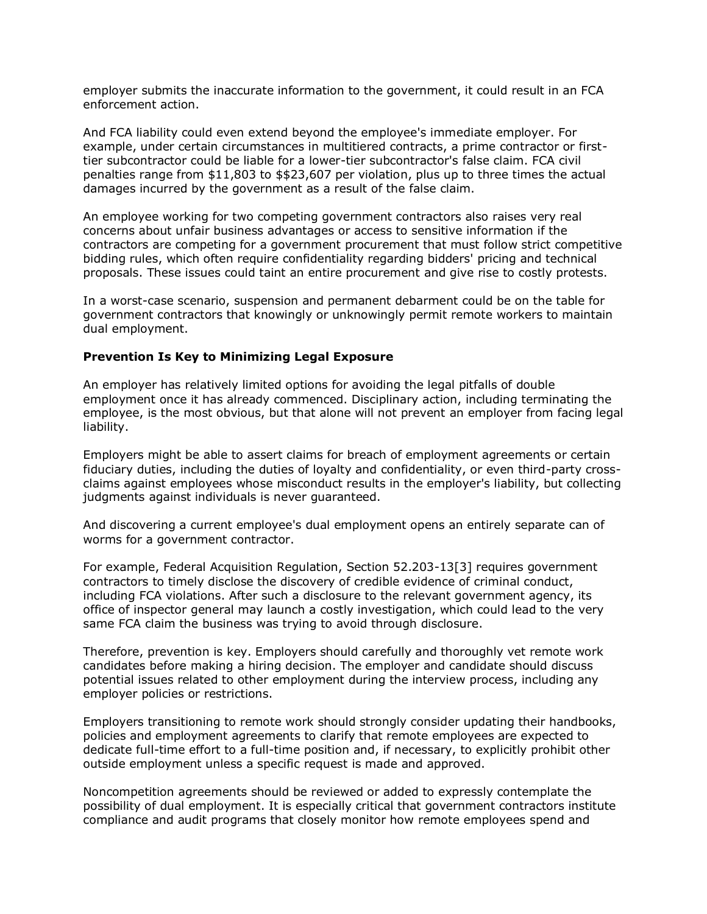employer submits the inaccurate information to the government, it could result in an FCA enforcement action.

And FCA liability could even extend beyond the employee's immediate employer. For example, under certain circumstances in multitiered contracts, a prime contractor or firsttier subcontractor could be liable for a lower-tier subcontractor's false claim. FCA civil penalties range from \$11,803 to \$\$23,607 per violation, plus up to three times the actual damages incurred by the government as a result of the false claim.

An employee working for two competing government contractors also raises very real concerns about unfair business advantages or access to sensitive information if the contractors are competing for a government procurement that must follow strict competitive bidding rules, which often require confidentiality regarding bidders' pricing and technical proposals. These issues could taint an entire procurement and give rise to costly protests.

In a worst-case scenario, suspension and permanent debarment could be on the table for government contractors that knowingly or unknowingly permit remote workers to maintain dual employment.

### **Prevention Is Key to Minimizing Legal Exposure**

An employer has relatively limited options for avoiding the legal pitfalls of double employment once it has already commenced. Disciplinary action, including terminating the employee, is the most obvious, but that alone will not prevent an employer from facing legal liability.

Employers might be able to assert claims for breach of employment agreements or certain fiduciary duties, including the duties of loyalty and confidentiality, or even third-party crossclaims against employees whose misconduct results in the employer's liability, but collecting judgments against individuals is never guaranteed.

And discovering a current employee's dual employment opens an entirely separate can of worms for a government contractor.

For example, Federal Acquisition Regulation, Section 52.203-13[3] requires government contractors to timely disclose the discovery of credible evidence of criminal conduct, including FCA violations. After such a disclosure to the relevant government agency, its office of inspector general may launch a costly investigation, which could lead to the very same FCA claim the business was trying to avoid through disclosure.

Therefore, prevention is key. Employers should carefully and thoroughly vet remote work candidates before making a hiring decision. The employer and candidate should discuss potential issues related to other employment during the interview process, including any employer policies or restrictions.

Employers transitioning to remote work should strongly consider updating their handbooks, policies and employment agreements to clarify that remote employees are expected to dedicate full-time effort to a full-time position and, if necessary, to explicitly prohibit other outside employment unless a specific request is made and approved.

Noncompetition agreements should be reviewed or added to expressly contemplate the possibility of dual employment. It is especially critical that government contractors institute compliance and audit programs that closely monitor how remote employees spend and